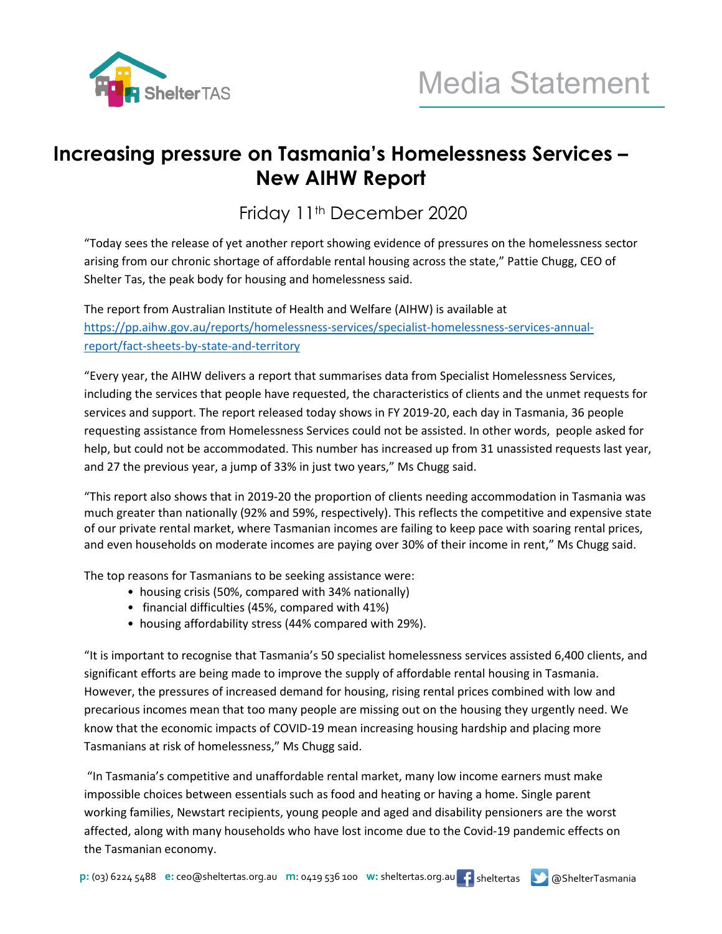

## **Increasing pressure on Tasmania's Homelessness Services – New AIHW Report**

Friday 11<sup>th</sup> December 2020

"Today sees the release of yet another report showing evidence of pressures on the homelessness sector arising from our chronic shortage of affordable rental housing across the state," Pattie Chugg, CEO of Shelter Tas, the peak body for housing and homelessness said.

The report from Australian Institute of Health and Welfare (AIHW) is available at [https://pp.aihw.gov.au/reports/homelessness-services/specialist-homelessness-services-annual](https://pp.aihw.gov.au/reports/homelessness-services/specialist-homelessness-services-annual-report/fact-sheets-by-state-and-territory)[report/fact-sheets-by-state-and-territory](https://pp.aihw.gov.au/reports/homelessness-services/specialist-homelessness-services-annual-report/fact-sheets-by-state-and-territory)

"Every year, the AIHW delivers a report that summarises data from Specialist Homelessness Services, including the services that people have requested, the characteristics of clients and the unmet requests for services and support. The report released today shows in FY 2019-20, each day in Tasmania, 36 people requesting assistance from Homelessness Services could not be assisted. In other words, people asked for help, but could not be accommodated. This number has increased up from 31 unassisted requests last year, and 27 the previous year, a jump of 33% in just two years," Ms Chugg said.

"This report also shows that in 2019-20 the proportion of clients needing accommodation in Tasmania was much greater than nationally (92% and 59%, respectively). This reflects the competitive and expensive state of our private rental market, where Tasmanian incomes are failing to keep pace with soaring rental prices, and even households on moderate incomes are paying over 30% of their income in rent," Ms Chugg said.

The top reasons for Tasmanians to be seeking assistance were:

- housing crisis (50%, compared with 34% nationally)
- financial difficulties (45%, compared with 41%)
- housing affordability stress (44% compared with 29%).

"It is important to recognise that Tasmania's 50 specialist homelessness services assisted 6,400 clients, and significant efforts are being made to improve the supply of affordable rental housing in Tasmania. However, the pressures of increased demand for housing, rising rental prices combined with low and precarious incomes mean that too many people are missing out on the housing they urgently need. We know that the economic impacts of COVID-19 mean increasing housing hardship and placing more Tasmanians at risk of homelessness," Ms Chugg said.

"In Tasmania's competitive and unaffordable rental market, many low income earners must make impossible choices between essentials such as food and heating or having a home. Single parent working families, Newstart recipients, young people and aged and disability pensioners are the worst affected, along with many households who have lost income due to the Covid-19 pandemic effects on the Tasmanian economy.